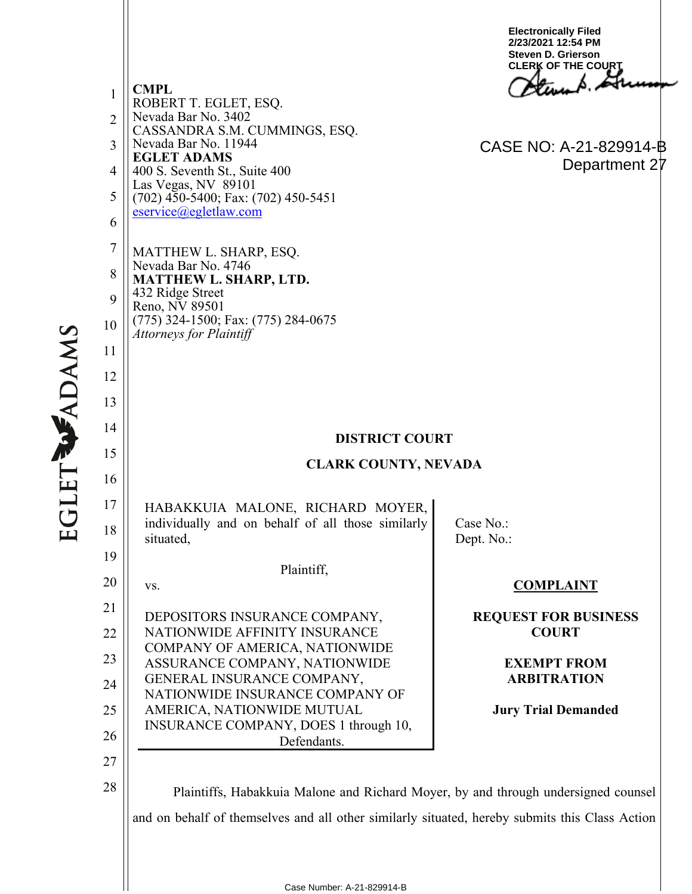1 2 3 4 5 6 7 8 9 10 11 12 13 14 15 16 17 18 19 20 21 22 23 24 25 26 27 28 **CMPL** ROBERT T. EGLET, ESQ. Nevada Bar No. 3402 CASSANDRA S.M. CUMMINGS, ESQ. Nevada Bar No. 11944 **EGLET ADAMS** 400 S. Seventh St., Suite 400 Las Vegas, NV 89101 (702) 450-5400; Fax: (702) 450-5451 [eservice@egletlaw.com](mailto:eservice@egletlaw.com)  MATTHEW L. SHARP, ESQ. Nevada Bar No. 4746 **MATTHEW L. SHARP, LTD.** 432 Ridge Street Reno, NV 89501 (775) 324-1500; Fax: (775) 284-0675 *Attorneys for Plaintiff* **DISTRICT COURT CLARK COUNTY, NEVADA** HABAKKUIA MALONE, RICHARD MOYER, individually and on behalf of all those similarly situated, Plaintiff, vs. DEPOSITORS INSURANCE COMPANY, NATIONWIDE AFFINITY INSURANCE COMPANY OF AMERICA, NATIONWIDE ASSURANCE COMPANY, NATIONWIDE GENERAL INSURANCE COMPANY, NATIONWIDE INSURANCE COMPANY OF AMERICA, NATIONWIDE MUTUAL INSURANCE COMPANY, DOES 1 through 10, Defendants. Case No.: Dept. No.: **COMPLAINT REQUEST FOR BUSINESS COURT EXEMPT FROM ARBITRATION Jury Trial Demanded** Plaintiffs, Habakkuia Malone and Richard Moyer, by and through undersigned counsel and on behalf of themselves and all other similarly situated, hereby submits this Class Action **Electronically Filed 2/23/2021 12:54 PM Steven D. Grierson CLERK OF THE COURT** CASE NO: A-21-829914-B Department 27

**EGLET WADAMS**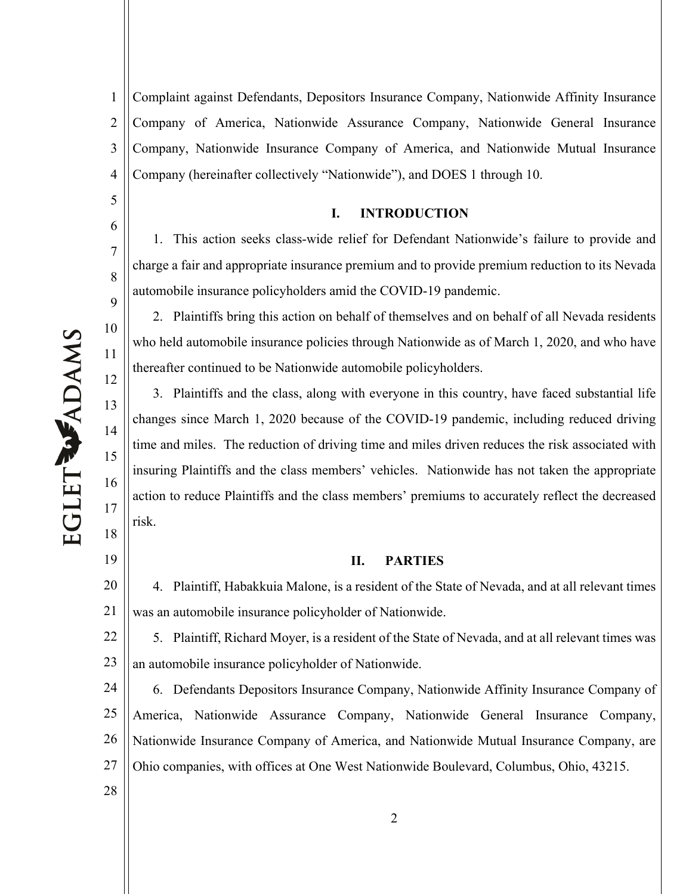5

6

7

8

9

10

11

12

13

14

15

16

17

18

19

28

1 2 3 4 Complaint against Defendants, Depositors Insurance Company, Nationwide Affinity Insurance Company of America, Nationwide Assurance Company, Nationwide General Insurance Company, Nationwide Insurance Company of America, and Nationwide Mutual Insurance Company (hereinafter collectively "Nationwide"), and DOES 1 through 10.

## **I. INTRODUCTION**

1. This action seeks class-wide relief for Defendant Nationwide's failure to provide and charge a fair and appropriate insurance premium and to provide premium reduction to its Nevada automobile insurance policyholders amid the COVID-19 pandemic.

2. Plaintiffs bring this action on behalf of themselves and on behalf of all Nevada residents who held automobile insurance policies through Nationwide as of March 1, 2020, and who have thereafter continued to be Nationwide automobile policyholders.

3. Plaintiffs and the class, along with everyone in this country, have faced substantial life changes since March 1, 2020 because of the COVID-19 pandemic, including reduced driving time and miles. The reduction of driving time and miles driven reduces the risk associated with insuring Plaintiffs and the class members' vehicles. Nationwide has not taken the appropriate action to reduce Plaintiffs and the class members' premiums to accurately reflect the decreased risk.

## **II. PARTIES**

20 21 4. Plaintiff, Habakkuia Malone, is a resident of the State of Nevada, and at all relevant times was an automobile insurance policyholder of Nationwide.

22 23 5. Plaintiff, Richard Moyer, is a resident of the State of Nevada, and at all relevant times was an automobile insurance policyholder of Nationwide.

24 25 26 27 6. Defendants Depositors Insurance Company, Nationwide Affinity Insurance Company of America, Nationwide Assurance Company, Nationwide General Insurance Company, Nationwide Insurance Company of America, and Nationwide Mutual Insurance Company, are Ohio companies, with offices at One West Nationwide Boulevard, Columbus, Ohio, 43215.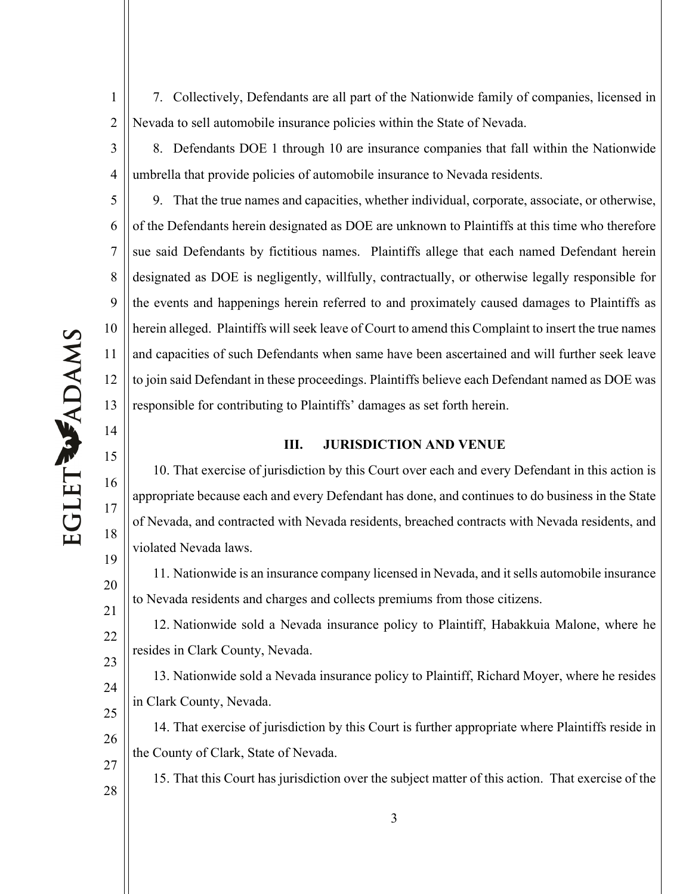7. Collectively, Defendants are all part of the Nationwide family of companies, licensed in Nevada to sell automobile insurance policies within the State of Nevada.

8. Defendants DOE 1 through 10 are insurance companies that fall within the Nationwide umbrella that provide policies of automobile insurance to Nevada residents.

5 6 7 8 9 10 9. That the true names and capacities, whether individual, corporate, associate, or otherwise, of the Defendants herein designated as DOE are unknown to Plaintiffs at this time who therefore sue said Defendants by fictitious names. Plaintiffs allege that each named Defendant herein designated as DOE is negligently, willfully, contractually, or otherwise legally responsible for the events and happenings herein referred to and proximately caused damages to Plaintiffs as herein alleged. Plaintiffs will seek leave of Court to amend this Complaint to insert the true names and capacities of such Defendants when same have been ascertained and will further seek leave to join said Defendant in these proceedings. Plaintiffs believe each Defendant named as DOE was responsible for contributing to Plaintiffs' damages as set forth herein.

### **III. JURISDICTION AND VENUE**

10. That exercise of jurisdiction by this Court over each and every Defendant in this action is appropriate because each and every Defendant has done, and continues to do business in the State of Nevada, and contracted with Nevada residents, breached contracts with Nevada residents, and violated Nevada laws.

11. Nationwide is an insurance company licensed in Nevada, and it sells automobile insurance to Nevada residents and charges and collects premiums from those citizens.

12. Nationwide sold a Nevada insurance policy to Plaintiff, Habakkuia Malone, where he resides in Clark County, Nevada.

13. Nationwide sold a Nevada insurance policy to Plaintiff, Richard Moyer, where he resides in Clark County, Nevada.

14. That exercise of jurisdiction by this Court is further appropriate where Plaintiffs reside in the County of Clark, State of Nevada.

15. That this Court has jurisdiction over the subject matter of this action. That exercise of the

1

2

3

4

11

12

13

14

15

16

17

18

19

20

21

22

23

24

25

26

27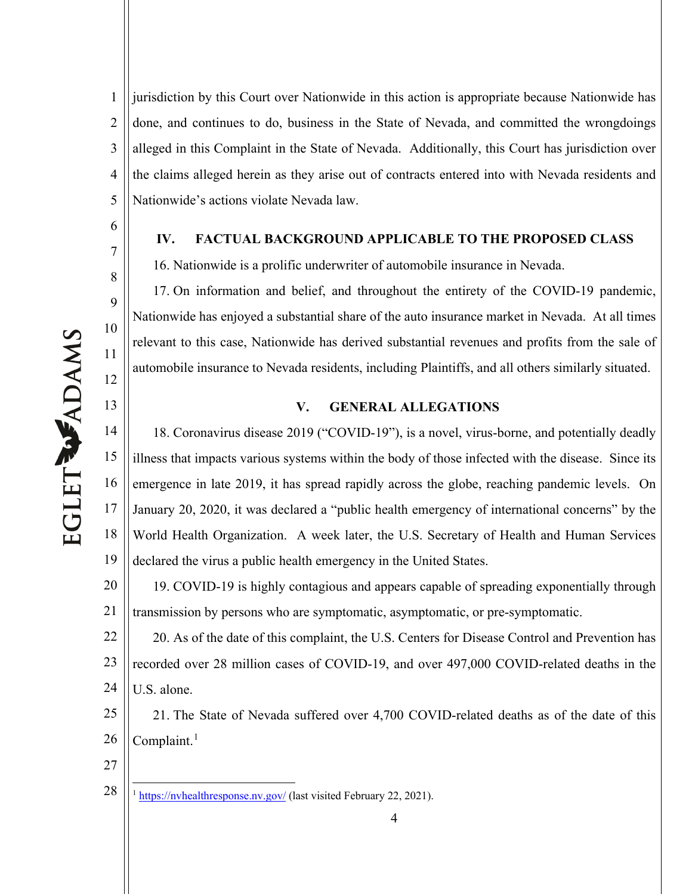6

7

8

9

10

11

12

13

1 2 3 4 5 jurisdiction by this Court over Nationwide in this action is appropriate because Nationwide has done, and continues to do, business in the State of Nevada, and committed the wrongdoings alleged in this Complaint in the State of Nevada. Additionally, this Court has jurisdiction over the claims alleged herein as they arise out of contracts entered into with Nevada residents and Nationwide's actions violate Nevada law.

### **IV. FACTUAL BACKGROUND APPLICABLE TO THE PROPOSED CLASS**

16. Nationwide is a prolific underwriter of automobile insurance in Nevada.

17. On information and belief, and throughout the entirety of the COVID-19 pandemic, Nationwide has enjoyed a substantial share of the auto insurance market in Nevada. At all times relevant to this case, Nationwide has derived substantial revenues and profits from the sale of automobile insurance to Nevada residents, including Plaintiffs, and all others similarly situated.

#### **V. GENERAL ALLEGATIONS**

14 15 16 17 18 19 18. Coronavirus disease 2019 ("COVID-19"), is a novel, virus-borne, and potentially deadly illness that impacts various systems within the body of those infected with the disease. Since its emergence in late 2019, it has spread rapidly across the globe, reaching pandemic levels. On January 20, 2020, it was declared a "public health emergency of international concerns" by the World Health Organization. A week later, the U.S. Secretary of Health and Human Services declared the virus a public health emergency in the United States.

20 21 19. COVID-19 is highly contagious and appears capable of spreading exponentially through transmission by persons who are symptomatic, asymptomatic, or pre-symptomatic.

22 23 24 20. As of the date of this complaint, the U.S. Centers for Disease Control and Prevention has recorded over 28 million cases of COVID-19, and over 497,000 COVID-related deaths in the U.S. alone.

25 26 21. The State of Nevada suffered over 4,700 COVID-related deaths as of the date of this Complaint. $<sup>1</sup>$  $<sup>1</sup>$  $<sup>1</sup>$ </sup>

27

<span id="page-3-0"></span>28 <sup>1</sup> https://nyhealthresponse.nv.gov/ (last visited February 22, 2021).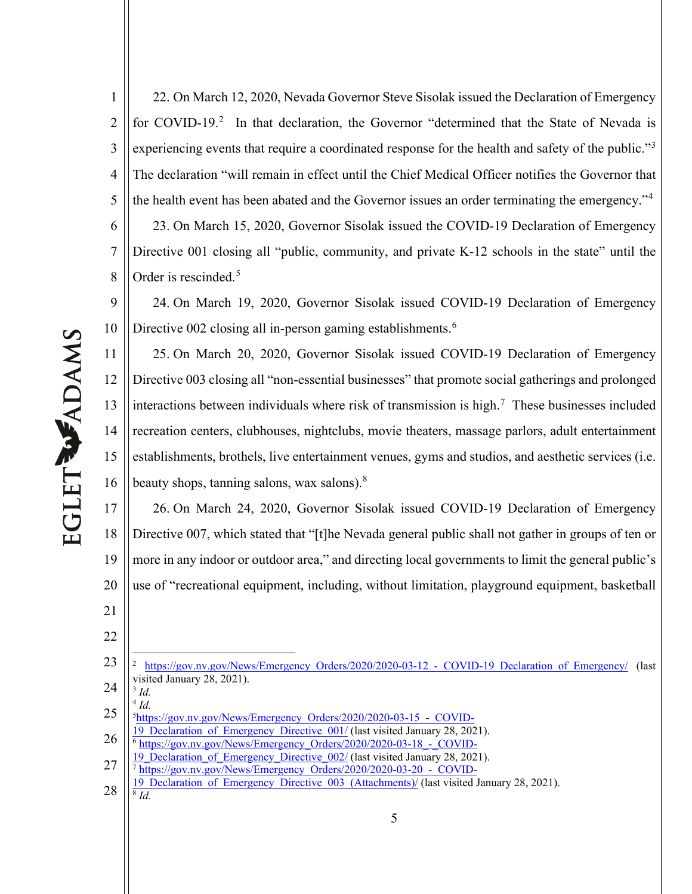1 2 3 4 5 6 7 8 22. On March 12, 2020, Nevada Governor Steve Sisolak issued the Declaration of Emergency for COVID-19.<sup>[2](#page-4-0)</sup> In that declaration, the Governor "determined that the State of Nevada is experiencing events that require a coordinated response for the health and safety of the public."<sup>[3](#page-4-1)</sup> The declaration "will remain in effect until the Chief Medical Officer notifies the Governor that the health event has been abated and the Governor issues an order terminating the emergency."[4](#page-4-2) 23. On March 15, 2020, Governor Sisolak issued the COVID-19 Declaration of Emergency Directive 001 closing all "public, community, and private K-12 schools in the state" until the Order is rescinded. [5](#page-4-3)

9 10 24. On March 19, 2020, Governor Sisolak issued COVID-19 Declaration of Emergency Directive 002 closing all in-person gaming establishments.<sup>[6](#page-4-4)</sup>

11 12 13 14 15 16 25. On March 20, 2020, Governor Sisolak issued COVID-19 Declaration of Emergency Directive 003 closing all "non-essential businesses" that promote social gatherings and prolonged interactions between individuals where risk of transmission is high.<sup>[7](#page-4-5)</sup> These businesses included recreation centers, clubhouses, nightclubs, movie theaters, massage parlors, adult entertainment establishments, brothels, live entertainment venues, gyms and studios, and aesthetic services (i.e. beauty shops, tanning salons, wax salons).<sup>[8](#page-4-6)</sup>

17 18 19 20 26. On March 24, 2020, Governor Sisolak issued COVID-19 Declaration of Emergency Directive 007, which stated that "[t]he Nevada general public shall not gather in groups of ten or more in any indoor or outdoor area," and directing local governments to limit the general public's use of "recreational equipment, including, without limitation, playground equipment, basketball

<span id="page-4-1"></span><sup>4</sup> *Id.*

21

22

EGLET WADAMS

<span id="page-4-0"></span><sup>23</sup> 24 https://gov.nv.gov/News/Emergency\_Orders/2020/2020-03-12 - COVID-19\_Declaration\_of\_Emergency/ (last visited January 28, 2021). <sup>3</sup> *Id.*

<span id="page-4-3"></span><span id="page-4-2"></span><sup>25</sup> 5[https://gov.nv.gov/News/Emergency\\_Orders/2020/2020-03-15\\_-\\_COVID-](https://gov.nv.gov/News/Emergency_Orders/2020/2020-03-15_-_COVID-19_Declaration_of_Emergency_Directive_001/)

<sup>19</sup> Declaration of Emergency Directive 001/ (last visited January 28, 2021).

<span id="page-4-4"></span><sup>26</sup> <sup>6</sup> [https://gov.nv.gov/News/Emergency\\_Orders/2020/2020-03-18\\_-\\_COVID-](https://gov.nv.gov/News/Emergency_Orders/2020/2020-03-18_-_COVID-19_Declaration_of_Emergency_Directive_002/)

<span id="page-4-5"></span><sup>27</sup> 19 Declaration of Emergency Directive 002/ (last visited January 28, 2021).

<sup>&</sup>lt;sup>7</sup> [https://gov.nv.gov/News/Emergency\\_Orders/2020/2020-03-20\\_-\\_COVID-](https://gov.nv.gov/News/Emergency_Orders/2020/2020-03-20_-_COVID-19_Declaration_of_Emergency_Directive_003_(Attachments)/)

<span id="page-4-6"></span><sup>28</sup> 19 Declaration of Emergency Directive 003 (Attachments)/ (last visited January 28, 2021).  $\overline{\delta}$  *Id.*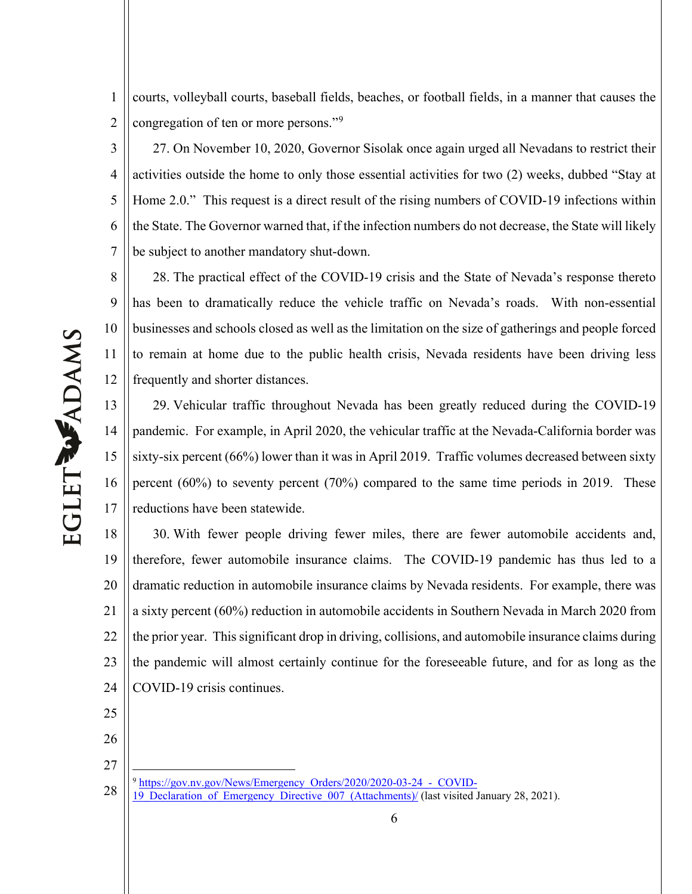1 2 courts, volleyball courts, baseball fields, beaches, or football fields, in a manner that causes the congregation of ten or more persons."<sup>[9](#page-5-0)</sup>

3 4 5 6 7 27. On November 10, 2020, Governor Sisolak once again urged all Nevadans to restrict their activities outside the home to only those essential activities for two (2) weeks, dubbed "Stay at Home 2.0." This request is a direct result of the rising numbers of COVID-19 infections within the State. The Governor warned that, if the infection numbers do not decrease, the State will likely be subject to another mandatory shut-down.

8 9 10 11 12 28. The practical effect of the COVID-19 crisis and the State of Nevada's response thereto has been to dramatically reduce the vehicle traffic on Nevada's roads. With non-essential businesses and schools closed as well as the limitation on the size of gatherings and people forced to remain at home due to the public health crisis, Nevada residents have been driving less frequently and shorter distances.

13 14 15 16 17 29. Vehicular traffic throughout Nevada has been greatly reduced during the COVID-19 pandemic. For example, in April 2020, the vehicular traffic at the Nevada-California border was sixty-six percent (66%) lower than it was in April 2019. Traffic volumes decreased between sixty percent (60%) to seventy percent (70%) compared to the same time periods in 2019. These reductions have been statewide.

18 19 20 21 22 23 24 30. With fewer people driving fewer miles, there are fewer automobile accidents and, therefore, fewer automobile insurance claims. The COVID-19 pandemic has thus led to a dramatic reduction in automobile insurance claims by Nevada residents. For example, there was a sixty percent (60%) reduction in automobile accidents in Southern Nevada in March 2020 from the prior year. This significant drop in driving, collisions, and automobile insurance claims during the pandemic will almost certainly continue for the foreseeable future, and for as long as the COVID-19 crisis continues.

- 25
- 26
- 27
- <sup>9</sup> [https://gov.nv.gov/News/Emergency\\_Orders/2020/2020-03-24\\_-\\_COVID-](https://gov.nv.gov/News/Emergency_Orders/2020/2020-03-24_-_COVID-19_Declaration_of_Emergency_Directive_007_(Attachments)/)
- <span id="page-5-0"></span>28 [19\\_Declaration\\_of\\_Emergency\\_Directive\\_007\\_\(Attachments\)/](https://gov.nv.gov/News/Emergency_Orders/2020/2020-03-24_-_COVID-19_Declaration_of_Emergency_Directive_007_(Attachments)/) (last visited January 28, 2021).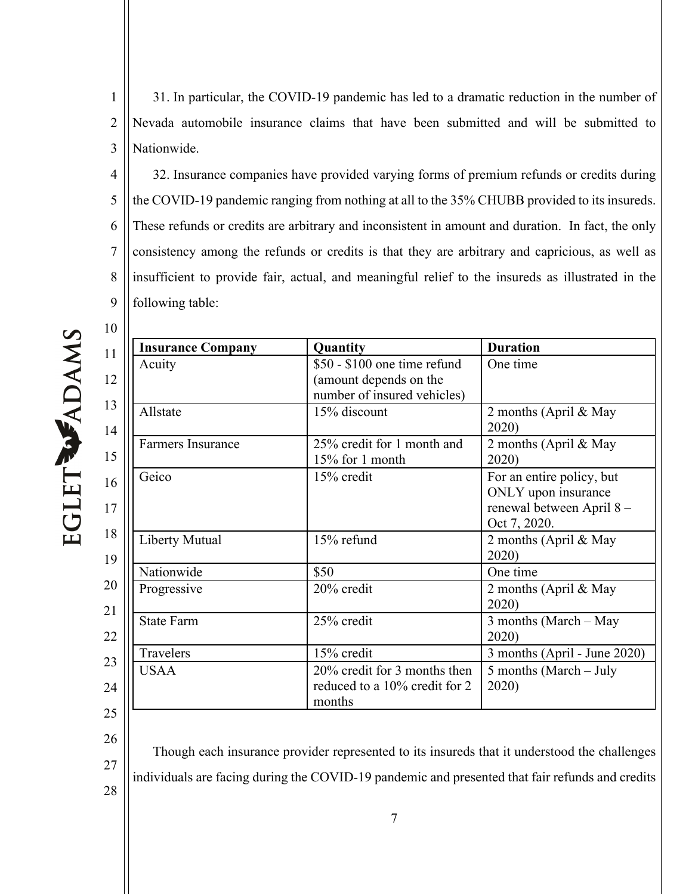1 2 3 31. In particular, the COVID-19 pandemic has led to a dramatic reduction in the number of Nevada automobile insurance claims that have been submitted and will be submitted to Nationwide.

4 5 6 7 8 9 32. Insurance companies have provided varying forms of premium refunds or credits during the COVID-19 pandemic ranging from nothing at all to the 35% CHUBB provided to its insureds. These refunds or credits are arbitrary and inconsistent in amount and duration. In fact, the only consistency among the refunds or credits is that they are arbitrary and capricious, as well as insufficient to provide fair, actual, and meaningful relief to the insureds as illustrated in the following table:

EGLET WADAMS

| <b>Insurance Company</b> | Quantity                                                                              | <b>Duration</b>                                                                              |
|--------------------------|---------------------------------------------------------------------------------------|----------------------------------------------------------------------------------------------|
| Acuity                   | \$50 - \$100 one time refund<br>(amount depends on the<br>number of insured vehicles) | One time                                                                                     |
| Allstate                 | 15% discount                                                                          | 2 months (April & May<br>2020)                                                               |
| Farmers Insurance        | 25% credit for 1 month and<br>15% for 1 month                                         | 2 months (April & May<br>2020)                                                               |
| Geico                    | 15% credit                                                                            | For an entire policy, but<br>ONLY upon insurance<br>renewal between April 8-<br>Oct 7, 2020. |
| <b>Liberty Mutual</b>    | 15% refund                                                                            | 2 months (April & May<br>2020)                                                               |
| Nationwide               | \$50                                                                                  | One time                                                                                     |
| Progressive              | 20% credit                                                                            | 2 months (April & May<br>2020)                                                               |
| <b>State Farm</b>        | 25% credit                                                                            | 3 months (March - May<br>2020)                                                               |
| Travelers                | 15% credit                                                                            | 3 months (April - June 2020)                                                                 |
| <b>USAA</b>              | 20% credit for 3 months then<br>reduced to a 10% credit for 2<br>months               | 5 months (March $-$ July<br>2020)                                                            |

26

27 28 Though each insurance provider represented to its insureds that it understood the challenges individuals are facing during the COVID-19 pandemic and presented that fair refunds and credits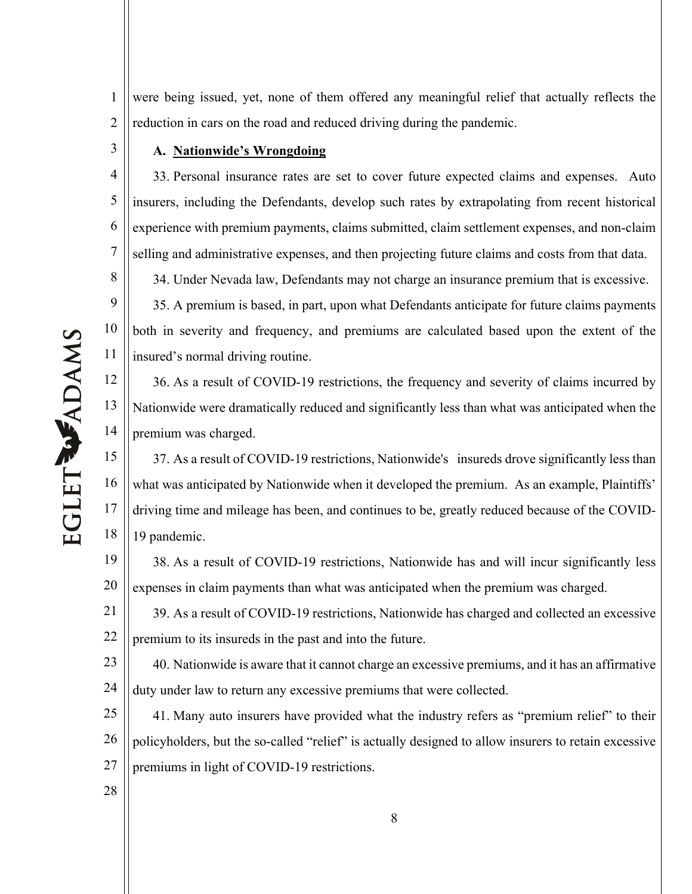1 2 were being issued, yet, none of them offered any meaningful relief that actually reflects the reduction in cars on the road and reduced driving during the pandemic.

## **A. Nationwide's Wrongdoing**

4 5 6 7 8 9 33. Personal insurance rates are set to cover future expected claims and expenses. Auto insurers, including the Defendants, develop such rates by extrapolating from recent historical experience with premium payments, claims submitted, claim settlement expenses, and non-claim selling and administrative expenses, and then projecting future claims and costs from that data. 34. Under Nevada law, Defendants may not charge an insurance premium that is excessive. 35. A premium is based, in part, upon what Defendants anticipate for future claims payments

10 11 both in severity and frequency, and premiums are calculated based upon the extent of the insured's normal driving routine.

12 13 14 36. As a result of COVID-19 restrictions, the frequency and severity of claims incurred by Nationwide were dramatically reduced and significantly less than what was anticipated when the premium was charged.

15 16 17 18 37. As a result of COVID-19 restrictions, Nationwide's insureds drove significantly less than what was anticipated by Nationwide when it developed the premium. As an example, Plaintiffs' driving time and mileage has been, and continues to be, greatly reduced because of the COVID-19 pandemic.

19 20 38. As a result of COVID-19 restrictions, Nationwide has and will incur significantly less expenses in claim payments than what was anticipated when the premium was charged.

21 22 39. As a result of COVID-19 restrictions, Nationwide has charged and collected an excessive premium to its insureds in the past and into the future.

23 24 40. Nationwide is aware that it cannot charge an excessive premiums, and it has an affirmative duty under law to return any excessive premiums that were collected.

25 26 27 41. Many auto insurers have provided what the industry refers as "premium relief" to their policyholders, but the so-called "relief" is actually designed to allow insurers to retain excessive premiums in light of COVID-19 restrictions.

EGLET WADAMS

28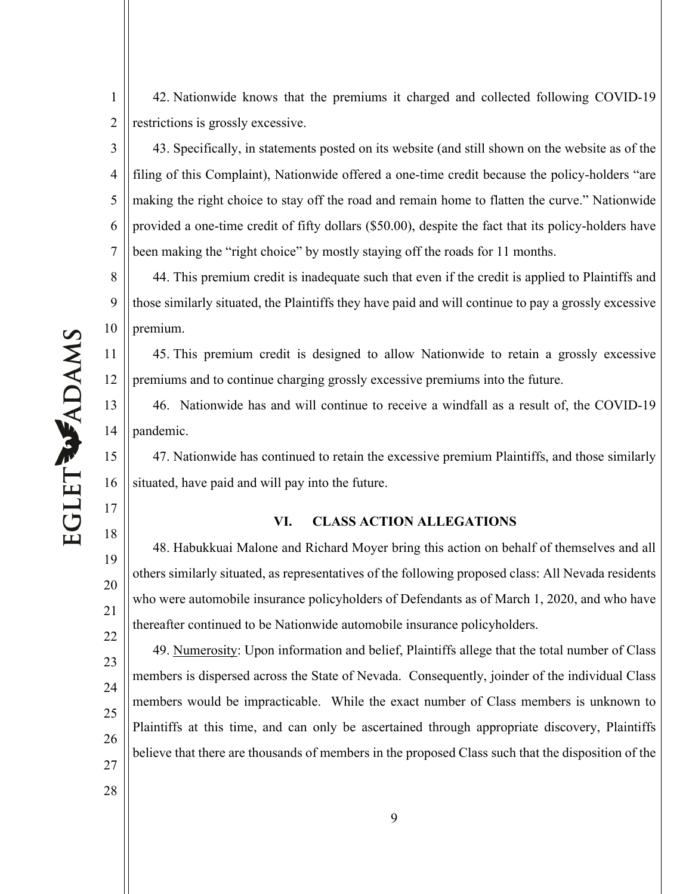42. Nationwide knows that the premiums it charged and collected following COVID-19 restrictions is grossly excessive.

3 4 5 6 7 43. Specifically, in statements posted on its website (and still shown on the website as of the filing of this Complaint), Nationwide offered a one-time credit because the policy-holders "are making the right choice to stay off the road and remain home to flatten the curve." Nationwide provided a one-time credit of fifty dollars (\$50.00), despite the fact that its policy-holders have been making the "right choice" by mostly staying off the roads for 11 months.

8 9 10 44. This premium credit is inadequate such that even if the credit is applied to Plaintiffs and those similarly situated, the Plaintiffs they have paid and will continue to pay a grossly excessive premium.

45. This premium credit is designed to allow Nationwide to retain a grossly excessive premiums and to continue charging grossly excessive premiums into the future.

46. Nationwide has and will continue to receive a windfall as a result of, the COVID-19 pandemic.

15 16 47. Nationwide has continued to retain the excessive premium Plaintiffs, and those similarly situated, have paid and will pay into the future.

# **VI. CLASS ACTION ALLEGATIONS**

48. Habukkuai Malone and Richard Moyer bring this action on behalf of themselves and all others similarly situated, as representatives of the following proposed class: All Nevada residents who were automobile insurance policyholders of Defendants as of March 1, 2020, and who have thereafter continued to be Nationwide automobile insurance policyholders.

49. Numerosity: Upon information and belief, Plaintiffs allege that the total number of Class members is dispersed across the State of Nevada. Consequently, joinder of the individual Class members would be impracticable. While the exact number of Class members is unknown to Plaintiffs at this time, and can only be ascertained through appropriate discovery, Plaintiffs believe that there are thousands of members in the proposed Class such that the disposition of the

1

2

11

12

13

14

17

18

19

20

- 22 23 24 25 26
- 27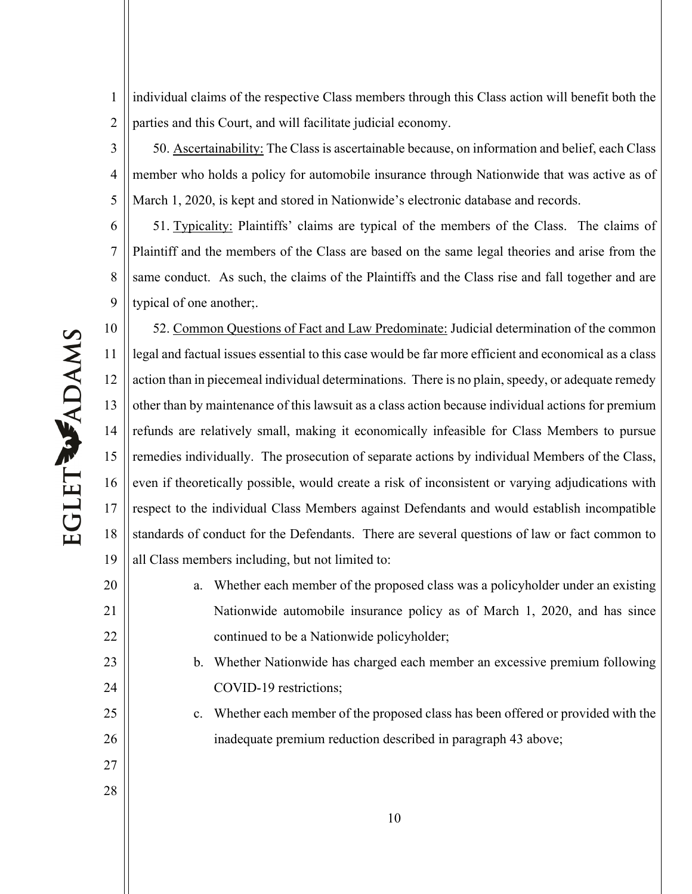1 2 individual claims of the respective Class members through this Class action will benefit both the parties and this Court, and will facilitate judicial economy.

3 4 5 50. Ascertainability: The Class is ascertainable because, on information and belief, each Class member who holds a policy for automobile insurance through Nationwide that was active as of March 1, 2020, is kept and stored in Nationwide's electronic database and records.

6 7 8 9 51. Typicality: Plaintiffs' claims are typical of the members of the Class. The claims of Plaintiff and the members of the Class are based on the same legal theories and arise from the same conduct. As such, the claims of the Plaintiffs and the Class rise and fall together and are typical of one another;.

10 11 12 13 14 15 16 17 18 19 52. Common Questions of Fact and Law Predominate: Judicial determination of the common legal and factual issues essential to this case would be far more efficient and economical as a class action than in piecemeal individual determinations. There is no plain, speedy, or adequate remedy other than by maintenance of this lawsuit as a class action because individual actions for premium refunds are relatively small, making it economically infeasible for Class Members to pursue remedies individually. The prosecution of separate actions by individual Members of the Class, even if theoretically possible, would create a risk of inconsistent or varying adjudications with respect to the individual Class Members against Defendants and would establish incompatible standards of conduct for the Defendants. There are several questions of law or fact common to all Class members including, but not limited to:

10 20 21 22 23 24 25 26 27 28 a. Whether each member of the proposed class was a policyholder under an existing Nationwide automobile insurance policy as of March 1, 2020, and has since continued to be a Nationwide policyholder; b. Whether Nationwide has charged each member an excessive premium following COVID-19 restrictions; c. Whether each member of the proposed class has been offered or provided with the inadequate premium reduction described in paragraph 43 above;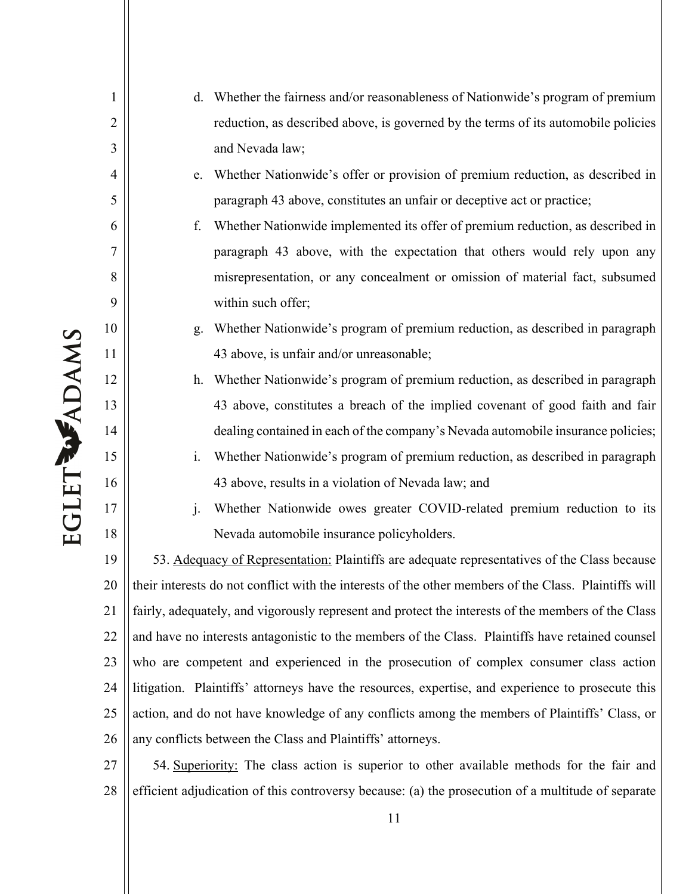EGLET WADAMS

1

2

3

4

5

6

7

8

9

10

11

12

13

14

15

16

17

18

| $d_{-}$ | Whether the fairness and/or reasonableness of Nationwide's program of premium      |
|---------|------------------------------------------------------------------------------------|
|         | reduction, as described above, is governed by the terms of its automobile policies |
|         | and Nevada law;                                                                    |

e. Whether Nationwide's offer or provision of premium reduction, as described in paragraph 43 above, constitutes an unfair or deceptive act or practice;

- f. Whether Nationwide implemented its offer of premium reduction, as described in paragraph 43 above, with the expectation that others would rely upon any misrepresentation, or any concealment or omission of material fact, subsumed within such offer;
- g. Whether Nationwide's program of premium reduction, as described in paragraph 43 above, is unfair and/or unreasonable;
- h. Whether Nationwide's program of premium reduction, as described in paragraph 43 above, constitutes a breach of the implied covenant of good faith and fair dealing contained in each of the company's Nevada automobile insurance policies;
- i. Whether Nationwide's program of premium reduction, as described in paragraph 43 above, results in a violation of Nevada law; and
- j. Whether Nationwide owes greater COVID-related premium reduction to its Nevada automobile insurance policyholders.

19 20 21 22 23 24 25 26 53. Adequacy of Representation: Plaintiffs are adequate representatives of the Class because their interests do not conflict with the interests of the other members of the Class. Plaintiffs will fairly, adequately, and vigorously represent and protect the interests of the members of the Class and have no interests antagonistic to the members of the Class. Plaintiffs have retained counsel who are competent and experienced in the prosecution of complex consumer class action litigation. Plaintiffs' attorneys have the resources, expertise, and experience to prosecute this action, and do not have knowledge of any conflicts among the members of Plaintiffs' Class, or any conflicts between the Class and Plaintiffs' attorneys.

27 28 54. Superiority: The class action is superior to other available methods for the fair and efficient adjudication of this controversy because: (a) the prosecution of a multitude of separate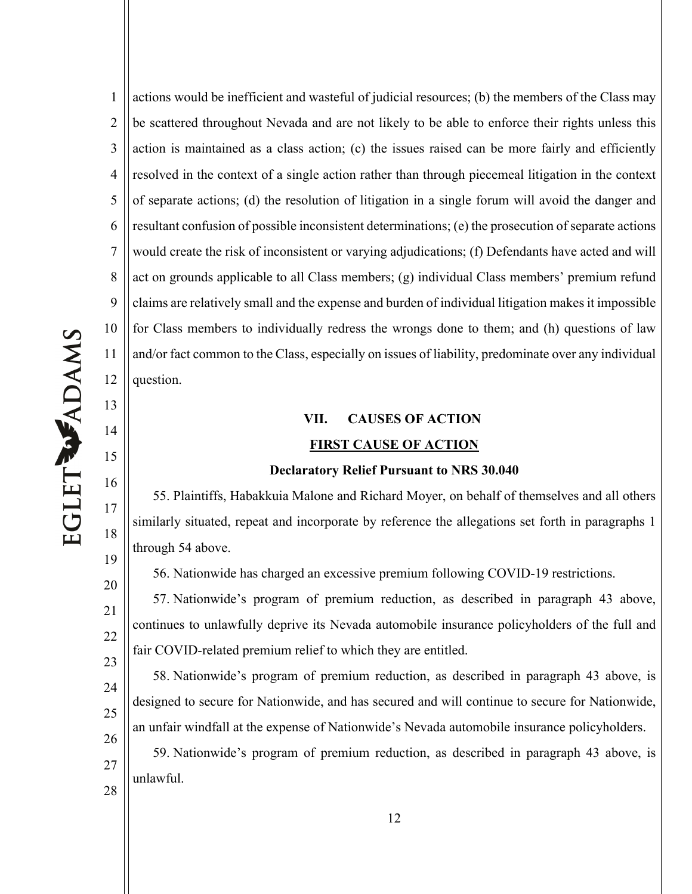13

14

15

16

17

18

19

20

21

1 2 3 4 5 6 7 8 9 10 11 12 actions would be inefficient and wasteful of judicial resources; (b) the members of the Class may be scattered throughout Nevada and are not likely to be able to enforce their rights unless this action is maintained as a class action; (c) the issues raised can be more fairly and efficiently resolved in the context of a single action rather than through piecemeal litigation in the context of separate actions; (d) the resolution of litigation in a single forum will avoid the danger and resultant confusion of possible inconsistent determinations; (e) the prosecution of separate actions would create the risk of inconsistent or varying adjudications; (f) Defendants have acted and will act on grounds applicable to all Class members; (g) individual Class members' premium refund claims are relatively small and the expense and burden of individual litigation makes it impossible for Class members to individually redress the wrongs done to them; and (h) questions of law and/or fact common to the Class, especially on issues of liability, predominate over any individual question.

# **VII. CAUSES OF ACTION FIRST CAUSE OF ACTION**

#### **Declaratory Relief Pursuant to NRS 30.040**

55. Plaintiffs, Habakkuia Malone and Richard Moyer, on behalf of themselves and all others similarly situated, repeat and incorporate by reference the allegations set forth in paragraphs 1 through 54 above.

56. Nationwide has charged an excessive premium following COVID-19 restrictions.

57. Nationwide's program of premium reduction, as described in paragraph 43 above, continues to unlawfully deprive its Nevada automobile insurance policyholders of the full and fair COVID-related premium relief to which they are entitled.

58. Nationwide's program of premium reduction, as described in paragraph 43 above, is designed to secure for Nationwide, and has secured and will continue to secure for Nationwide, an unfair windfall at the expense of Nationwide's Nevada automobile insurance policyholders.

59. Nationwide's program of premium reduction, as described in paragraph 43 above, is unlawful.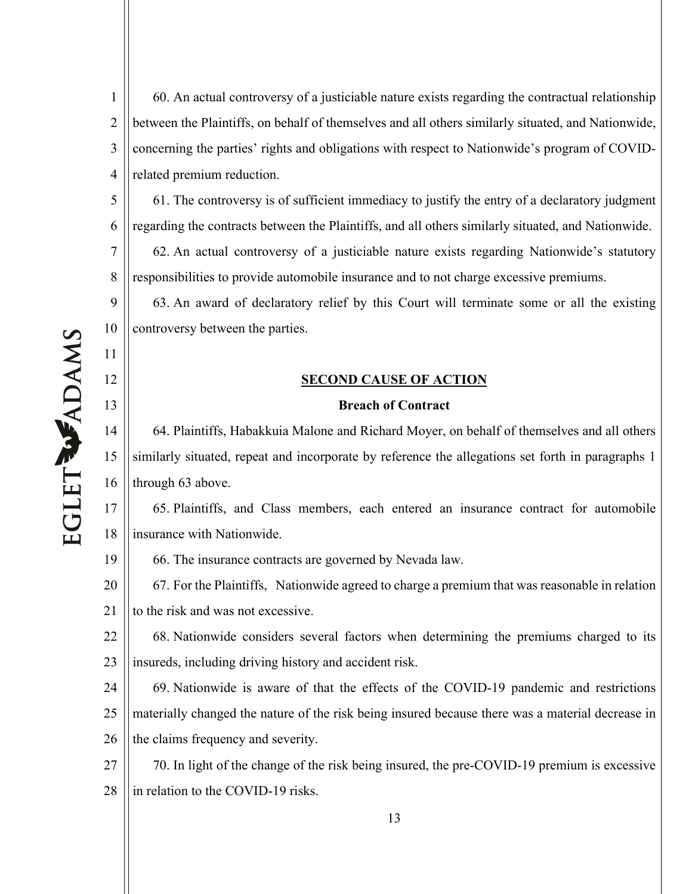1 2 3 4 60. An actual controversy of a justiciable nature exists regarding the contractual relationship between the Plaintiffs, on behalf of themselves and all others similarly situated, and Nationwide, concerning the parties' rights and obligations with respect to Nationwide's program of COVIDrelated premium reduction.

61. The controversy is of sufficient immediacy to justify the entry of a declaratory judgment regarding the contracts between the Plaintiffs, and all others similarly situated, and Nationwide.

7 8 62. An actual controversy of a justiciable nature exists regarding Nationwide's statutory responsibilities to provide automobile insurance and to not charge excessive premiums.

63. An award of declaratory relief by this Court will terminate some or all the existing controversy between the parties.

# **SECOND CAUSE OF ACTION**

# **Breach of Contract**

14 15 16 64. Plaintiffs, Habakkuia Malone and Richard Moyer, on behalf of themselves and all others similarly situated, repeat and incorporate by reference the allegations set forth in paragraphs 1 through 63 above.

17 18 65. Plaintiffs, and Class members, each entered an insurance contract for automobile insurance with Nationwide.

19 66. The insurance contracts are governed by Nevada law.

20 21 67. For the Plaintiffs, Nationwide agreed to charge a premium that was reasonable in relation to the risk and was not excessive.

22 23 68. Nationwide considers several factors when determining the premiums charged to its insureds, including driving history and accident risk.

24 25 26 69. Nationwide is aware of that the effects of the COVID-19 pandemic and restrictions materially changed the nature of the risk being insured because there was a material decrease in the claims frequency and severity.

27 28 70. In light of the change of the risk being insured, the pre-COVID-19 premium is excessive in relation to the COVID-19 risks.

5

6

9

10

11

12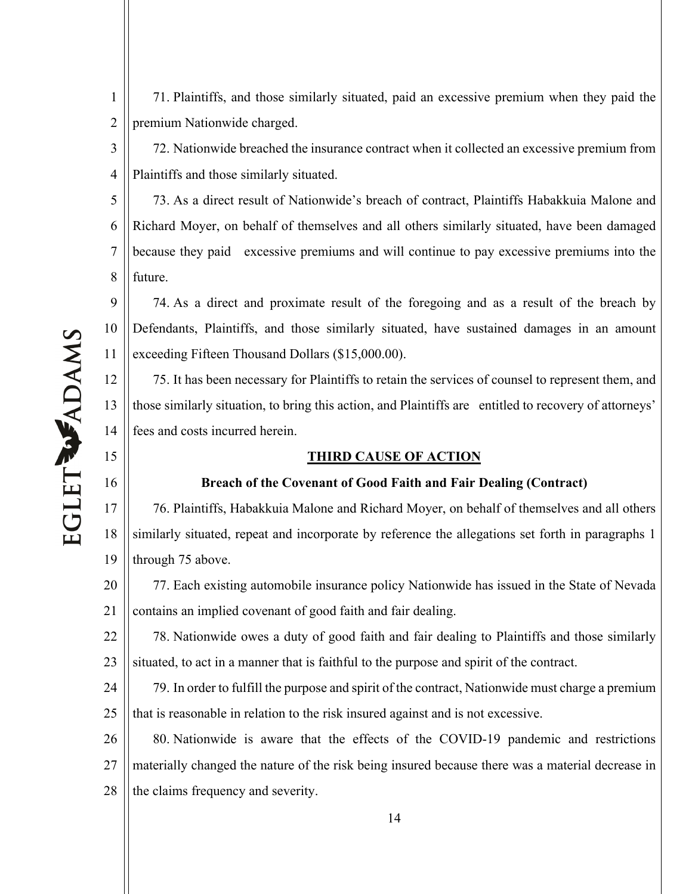71. Plaintiffs, and those similarly situated, paid an excessive premium when they paid the premium Nationwide charged.

3 4 72. Nationwide breached the insurance contract when it collected an excessive premium from Plaintiffs and those similarly situated.

5 6 7 8 73. As a direct result of Nationwide's breach of contract, Plaintiffs Habakkuia Malone and Richard Moyer, on behalf of themselves and all others similarly situated, have been damaged because they paid excessive premiums and will continue to pay excessive premiums into the future.

9 10 11 74. As a direct and proximate result of the foregoing and as a result of the breach by Defendants, Plaintiffs, and those similarly situated, have sustained damages in an amount exceeding Fifteen Thousand Dollars (\$15,000.00).

12 13 14 75. It has been necessary for Plaintiffs to retain the services of counsel to represent them, and those similarly situation, to bring this action, and Plaintiffs are entitled to recovery of attorneys' fees and costs incurred herein.

# **THIRD CAUSE OF ACTION**

# **Breach of the Covenant of Good Faith and Fair Dealing (Contract)**

17 18 19 76. Plaintiffs, Habakkuia Malone and Richard Moyer, on behalf of themselves and all others similarly situated, repeat and incorporate by reference the allegations set forth in paragraphs 1 through 75 above.

20 21 77. Each existing automobile insurance policy Nationwide has issued in the State of Nevada contains an implied covenant of good faith and fair dealing.

22 23 78. Nationwide owes a duty of good faith and fair dealing to Plaintiffs and those similarly situated, to act in a manner that is faithful to the purpose and spirit of the contract.

24 25 79. In order to fulfill the purpose and spirit of the contract, Nationwide must charge a premium that is reasonable in relation to the risk insured against and is not excessive.

26 27 28 80. Nationwide is aware that the effects of the COVID-19 pandemic and restrictions materially changed the nature of the risk being insured because there was a material decrease in the claims frequency and severity.

15

16

1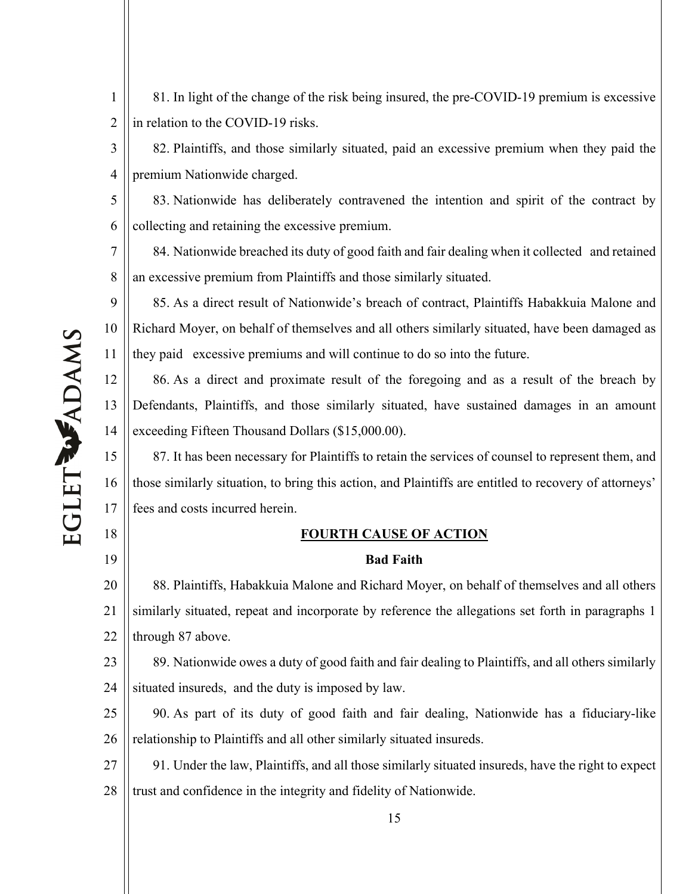1 2 81. In light of the change of the risk being insured, the pre-COVID-19 premium is excessive in relation to the COVID-19 risks.

3 4 82. Plaintiffs, and those similarly situated, paid an excessive premium when they paid the premium Nationwide charged.

5 6 83. Nationwide has deliberately contravened the intention and spirit of the contract by collecting and retaining the excessive premium.

7 8 84. Nationwide breached its duty of good faith and fair dealing when it collected and retained an excessive premium from Plaintiffs and those similarly situated.

9 10 11 85. As a direct result of Nationwide's breach of contract, Plaintiffs Habakkuia Malone and Richard Moyer, on behalf of themselves and all others similarly situated, have been damaged as they paid excessive premiums and will continue to do so into the future.

12 13 14 86. As a direct and proximate result of the foregoing and as a result of the breach by Defendants, Plaintiffs, and those similarly situated, have sustained damages in an amount exceeding Fifteen Thousand Dollars (\$15,000.00).

15 16 17 87. It has been necessary for Plaintiffs to retain the services of counsel to represent them, and those similarly situation, to bring this action, and Plaintiffs are entitled to recovery of attorneys' fees and costs incurred herein.

# **FOURTH CAUSE OF ACTION**

# **Bad Faith**

20 21 22 88. Plaintiffs, Habakkuia Malone and Richard Moyer, on behalf of themselves and all others similarly situated, repeat and incorporate by reference the allegations set forth in paragraphs 1 through 87 above.

23 24 89. Nationwide owes a duty of good faith and fair dealing to Plaintiffs, and all others similarly situated insureds, and the duty is imposed by law.

25 26 90. As part of its duty of good faith and fair dealing, Nationwide has a fiduciary-like relationship to Plaintiffs and all other similarly situated insureds.

27 28 91. Under the law, Plaintiffs, and all those similarly situated insureds, have the right to expect trust and confidence in the integrity and fidelity of Nationwide.

18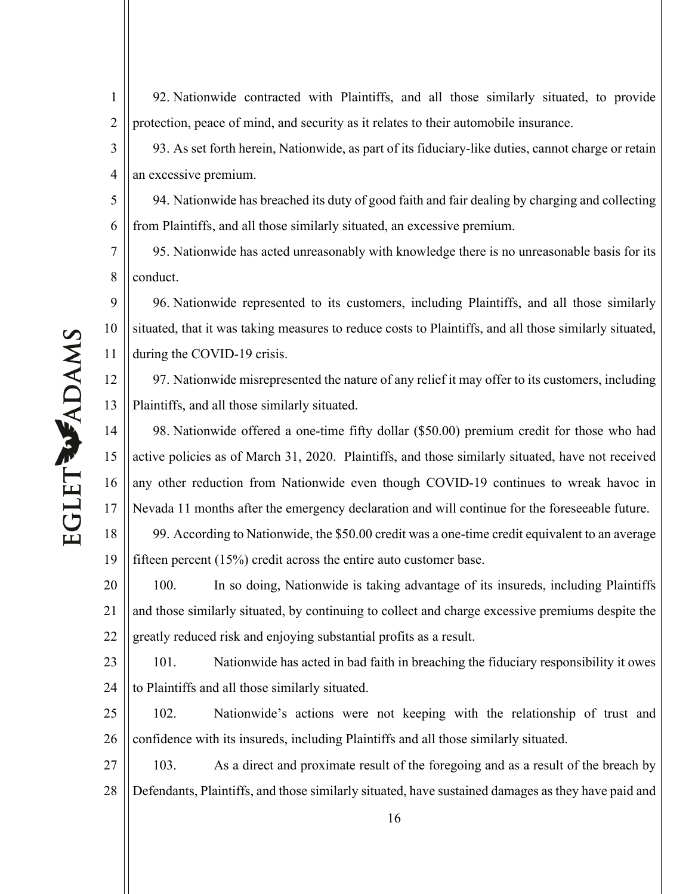92. Nationwide contracted with Plaintiffs, and all those similarly situated, to provide protection, peace of mind, and security as it relates to their automobile insurance.

3 4 93. As set forth herein, Nationwide, as part of its fiduciary-like duties, cannot charge or retain an excessive premium.

5 6 94. Nationwide has breached its duty of good faith and fair dealing by charging and collecting from Plaintiffs, and all those similarly situated, an excessive premium.

7 8 95. Nationwide has acted unreasonably with knowledge there is no unreasonable basis for its conduct.

9 10 11 96. Nationwide represented to its customers, including Plaintiffs, and all those similarly situated, that it was taking measures to reduce costs to Plaintiffs, and all those similarly situated, during the COVID-19 crisis.

12 13 97. Nationwide misrepresented the nature of any relief it may offer to its customers, including Plaintiffs, and all those similarly situated.

14 15 16 17 98. Nationwide offered a one-time fifty dollar (\$50.00) premium credit for those who had active policies as of March 31, 2020. Plaintiffs, and those similarly situated, have not received any other reduction from Nationwide even though COVID-19 continues to wreak havoc in Nevada 11 months after the emergency declaration and will continue for the foreseeable future.

18 19 99. According to Nationwide, the \$50.00 credit was a one-time credit equivalent to an average fifteen percent (15%) credit across the entire auto customer base.

20 21 22 100. In so doing, Nationwide is taking advantage of its insureds, including Plaintiffs and those similarly situated, by continuing to collect and charge excessive premiums despite the greatly reduced risk and enjoying substantial profits as a result.

23 24 101. Nationwide has acted in bad faith in breaching the fiduciary responsibility it owes to Plaintiffs and all those similarly situated.

25 26 102. Nationwide's actions were not keeping with the relationship of trust and confidence with its insureds, including Plaintiffs and all those similarly situated.

27 28 103. As a direct and proximate result of the foregoing and as a result of the breach by Defendants, Plaintiffs, and those similarly situated, have sustained damages as they have paid and

1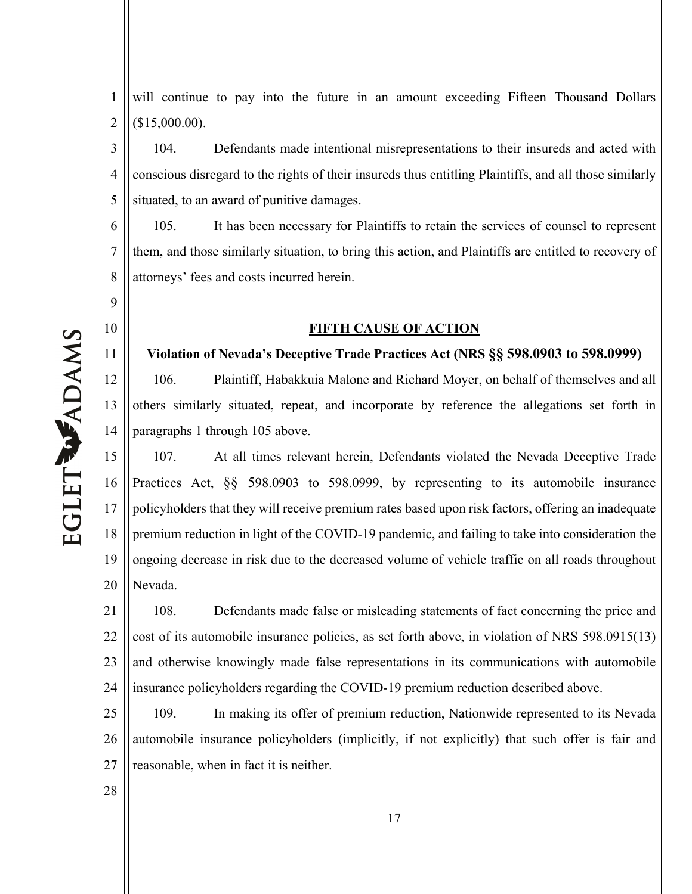1 2 will continue to pay into the future in an amount exceeding Fifteen Thousand Dollars (\$15,000.00).

3 4 5 104. Defendants made intentional misrepresentations to their insureds and acted with conscious disregard to the rights of their insureds thus entitling Plaintiffs, and all those similarly situated, to an award of punitive damages.

6 7 8 105. It has been necessary for Plaintiffs to retain the services of counsel to represent them, and those similarly situation, to bring this action, and Plaintiffs are entitled to recovery of attorneys' fees and costs incurred herein.

# **FIFTH CAUSE OF ACTION**

## **Violation of Nevada's Deceptive Trade Practices Act (NRS §§ 598.0903 to 598.0999)**

106. Plaintiff, Habakkuia Malone and Richard Moyer, on behalf of themselves and all others similarly situated, repeat, and incorporate by reference the allegations set forth in paragraphs 1 through 105 above.

15 16 17 18 19 20 107. At all times relevant herein, Defendants violated the Nevada Deceptive Trade Practices Act, §§ 598.0903 to 598.0999, by representing to its automobile insurance policyholders that they will receive premium rates based upon risk factors, offering an inadequate premium reduction in light of the COVID-19 pandemic, and failing to take into consideration the ongoing decrease in risk due to the decreased volume of vehicle traffic on all roads throughout Nevada.

21 22 23 24 108. Defendants made false or misleading statements of fact concerning the price and cost of its automobile insurance policies, as set forth above, in violation of NRS 598.0915(13) and otherwise knowingly made false representations in its communications with automobile insurance policyholders regarding the COVID-19 premium reduction described above.

25 26 27 109. In making its offer of premium reduction, Nationwide represented to its Nevada automobile insurance policyholders (implicitly, if not explicitly) that such offer is fair and reasonable, when in fact it is neither.

EGLET WADAMS

9

10

11

12

13

14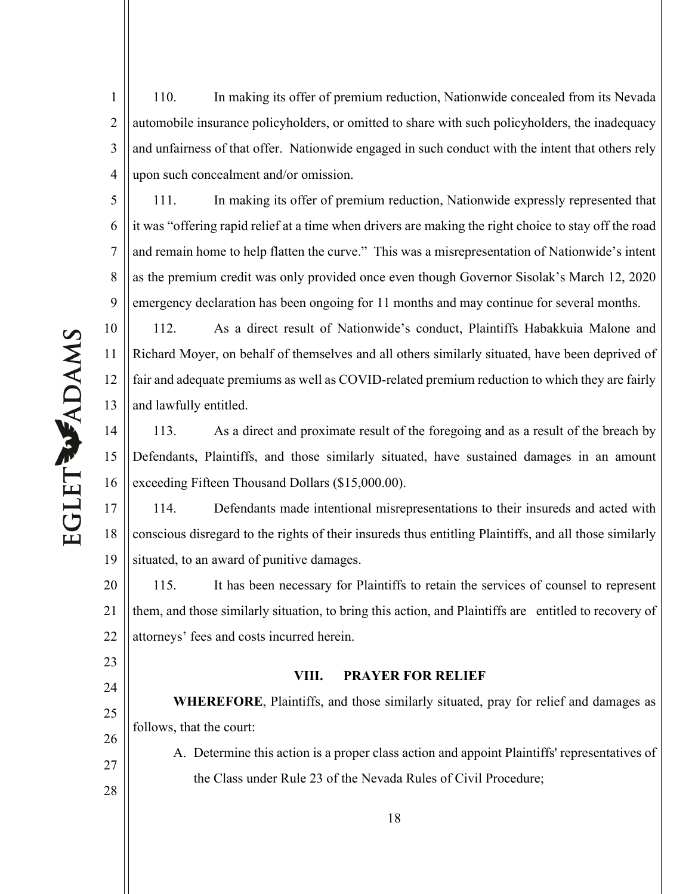1 2 3 4 110. In making its offer of premium reduction, Nationwide concealed from its Nevada automobile insurance policyholders, or omitted to share with such policyholders, the inadequacy and unfairness of that offer. Nationwide engaged in such conduct with the intent that others rely upon such concealment and/or omission.

5 6 7 8 9 111. In making its offer of premium reduction, Nationwide expressly represented that it was "offering rapid relief at a time when drivers are making the right choice to stay off the road and remain home to help flatten the curve." This was a misrepresentation of Nationwide's intent as the premium credit was only provided once even though Governor Sisolak's March 12, 2020 emergency declaration has been ongoing for 11 months and may continue for several months.

112. As a direct result of Nationwide's conduct, Plaintiffs Habakkuia Malone and Richard Moyer, on behalf of themselves and all others similarly situated, have been deprived of fair and adequate premiums as well as COVID-related premium reduction to which they are fairly and lawfully entitled.

14 15 16 113. As a direct and proximate result of the foregoing and as a result of the breach by Defendants, Plaintiffs, and those similarly situated, have sustained damages in an amount exceeding Fifteen Thousand Dollars (\$15,000.00).

17 18 19 114. Defendants made intentional misrepresentations to their insureds and acted with conscious disregard to the rights of their insureds thus entitling Plaintiffs, and all those similarly situated, to an award of punitive damages.

20 21 22 115. It has been necessary for Plaintiffs to retain the services of counsel to represent them, and those similarly situation, to bring this action, and Plaintiffs are entitled to recovery of attorneys' fees and costs incurred herein.

# **VIII. PRAYER FOR RELIEF**

**WHEREFORE**, Plaintiffs, and those similarly situated, pray for relief and damages as follows, that the court:

A. Determine this action is a proper class action and appoint Plaintiffs' representatives of the Class under Rule 23 of the Nevada Rules of Civil Procedure;

10

11

12

13

23

24

25

26

27